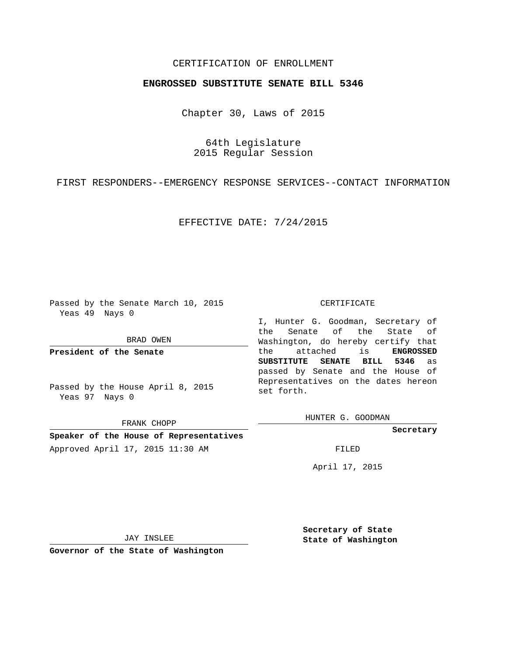## CERTIFICATION OF ENROLLMENT

## **ENGROSSED SUBSTITUTE SENATE BILL 5346**

Chapter 30, Laws of 2015

64th Legislature 2015 Regular Session

FIRST RESPONDERS--EMERGENCY RESPONSE SERVICES--CONTACT INFORMATION

EFFECTIVE DATE: 7/24/2015

Passed by the Senate March 10, 2015 Yeas 49 Nays 0

BRAD OWEN

**President of the Senate**

Passed by the House April 8, 2015 Yeas 97 Nays 0

FRANK CHOPP

**Speaker of the House of Representatives** Approved April 17, 2015 11:30 AM FILED

## CERTIFICATE

I, Hunter G. Goodman, Secretary of the Senate of the State of Washington, do hereby certify that the attached is **ENGROSSED SUBSTITUTE SENATE BILL 5346** as passed by Senate and the House of Representatives on the dates hereon set forth.

HUNTER G. GOODMAN

**Secretary**

April 17, 2015

JAY INSLEE

**Governor of the State of Washington**

**Secretary of State State of Washington**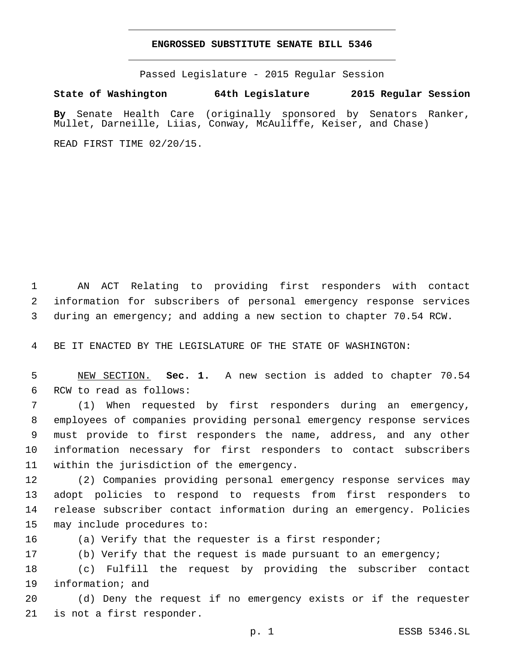## **ENGROSSED SUBSTITUTE SENATE BILL 5346**

Passed Legislature - 2015 Regular Session

**State of Washington 64th Legislature 2015 Regular Session**

**By** Senate Health Care (originally sponsored by Senators Ranker, Mullet, Darneille, Liias, Conway, McAuliffe, Keiser, and Chase)

READ FIRST TIME 02/20/15.

1 AN ACT Relating to providing first responders with contact 2 information for subscribers of personal emergency response services 3 during an emergency; and adding a new section to chapter 70.54 RCW.

4 BE IT ENACTED BY THE LEGISLATURE OF THE STATE OF WASHINGTON:

5 NEW SECTION. **Sec. 1.** A new section is added to chapter 70.54 6 RCW to read as follows:

 (1) When requested by first responders during an emergency, employees of companies providing personal emergency response services must provide to first responders the name, address, and any other information necessary for first responders to contact subscribers 11 within the jurisdiction of the emergency.

 (2) Companies providing personal emergency response services may adopt policies to respond to requests from first responders to release subscriber contact information during an emergency. Policies 15 may include procedures to:

16 (a) Verify that the requester is a first responder;

17 (b) Verify that the request is made pursuant to an emergency;

18 (c) Fulfill the request by providing the subscriber contact 19 information; and

20 (d) Deny the request if no emergency exists or if the requester 21 is not a first responder.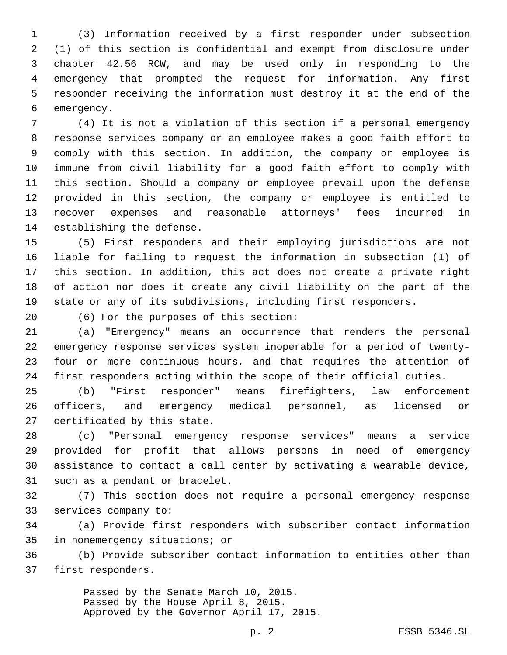(3) Information received by a first responder under subsection (1) of this section is confidential and exempt from disclosure under chapter 42.56 RCW, and may be used only in responding to the emergency that prompted the request for information. Any first responder receiving the information must destroy it at the end of the 6 emergency.

 (4) It is not a violation of this section if a personal emergency response services company or an employee makes a good faith effort to comply with this section. In addition, the company or employee is immune from civil liability for a good faith effort to comply with this section. Should a company or employee prevail upon the defense provided in this section, the company or employee is entitled to recover expenses and reasonable attorneys' fees incurred in 14 establishing the defense.

 (5) First responders and their employing jurisdictions are not liable for failing to request the information in subsection (1) of this section. In addition, this act does not create a private right of action nor does it create any civil liability on the part of the state or any of its subdivisions, including first responders.

(6) For the purposes of this section:20

 (a) "Emergency" means an occurrence that renders the personal emergency response services system inoperable for a period of twenty- four or more continuous hours, and that requires the attention of first responders acting within the scope of their official duties.

 (b) "First responder" means firefighters, law enforcement officers, and emergency medical personnel, as licensed or 27 certificated by this state.

 (c) "Personal emergency response services" means a service provided for profit that allows persons in need of emergency assistance to contact a call center by activating a wearable device, 31 such as a pendant or bracelet.

 (7) This section does not require a personal emergency response 33 services company to:

 (a) Provide first responders with subscriber contact information 35 in nonemergency situations; or

 (b) Provide subscriber contact information to entities other than 37 first responders.

> Passed by the Senate March 10, 2015. Passed by the House April 8, 2015. Approved by the Governor April 17, 2015.